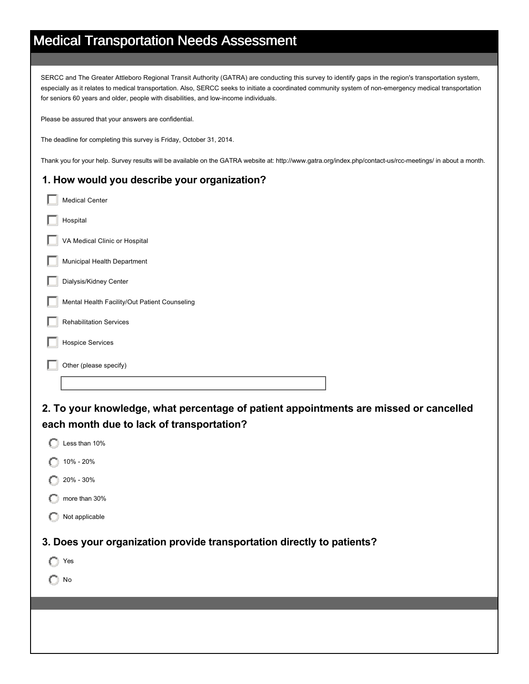## Medical Transportation Needs Assessment

SERCC and The Greater Attleboro Regional Transit Authority (GATRA) are conducting this survey to identify gaps in the region's transportation system, especially as it relates to medical transportation. Also, SERCC seeks to initiate a coordinated community system of non-emergency medical transportation for seniors 60 years and older, people with disabilities, and low-income individuals.

Please be assured that your answers are confidential.

The deadline for completing this survey is Friday, October 31, 2014.

Thank you for your help. Survey results will be available on the GATRA website at: http://www.gatra.org/index.php/contact-us/rcc-meetings/ in about a month.

## **1. How would you describe your organization?**

| <b>Medical Center</b>                         |
|-----------------------------------------------|
| Hospital                                      |
| VA Medical Clinic or Hospital                 |
| Municipal Health Department                   |
| Dialysis/Kidney Center                        |
| Mental Health Facility/Out Patient Counseling |
| <b>Rehabilitation Services</b>                |
| <b>Hospice Services</b>                       |
| Other (please specify)                        |
|                                               |

**2. To your knowledge, what percentage of patient appointments are missed or cancelled each month due to lack of transportation?**

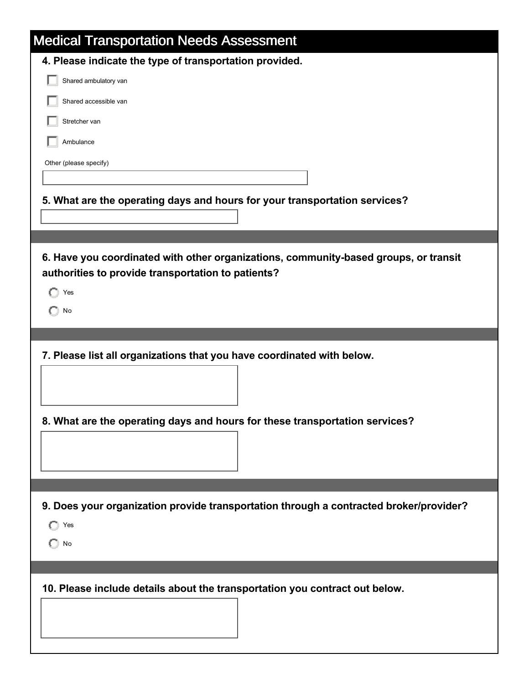| <b>Medical Transportation Needs Assessment</b>                                         |
|----------------------------------------------------------------------------------------|
| 4. Please indicate the type of transportation provided.                                |
| Shared ambulatory van                                                                  |
| Shared accessible van                                                                  |
| Stretcher van                                                                          |
| Ambulance                                                                              |
| Other (please specify)                                                                 |
|                                                                                        |
| 5. What are the operating days and hours for your transportation services?             |
|                                                                                        |
|                                                                                        |
| 6. Have you coordinated with other organizations, community-based groups, or transit   |
| authorities to provide transportation to patients?                                     |
| Yes                                                                                    |
| No                                                                                     |
|                                                                                        |
|                                                                                        |
| 7. Please list all organizations that you have coordinated with below.                 |
|                                                                                        |
|                                                                                        |
| 8. What are the operating days and hours for these transportation services?            |
|                                                                                        |
|                                                                                        |
|                                                                                        |
| 9. Does your organization provide transportation through a contracted broker/provider? |
| $\bigcap$ Yes                                                                          |
| $\Box$ No                                                                              |
|                                                                                        |
|                                                                                        |
| 10. Please include details about the transportation you contract out below.            |
|                                                                                        |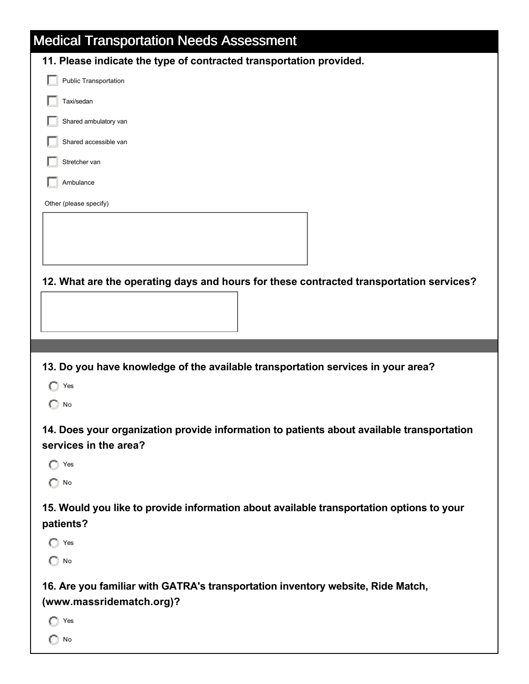| <b>Medical Transportation Needs Assessment</b>                                                                     |  |
|--------------------------------------------------------------------------------------------------------------------|--|
| 11. Please indicate the type of contracted transportation provided.                                                |  |
| Public Transportation                                                                                              |  |
| Taxi/sedan                                                                                                         |  |
| Shared ambulatory van                                                                                              |  |
| Shared accessible van                                                                                              |  |
| Stretcher van                                                                                                      |  |
| Ambulance                                                                                                          |  |
| Other (please specify)                                                                                             |  |
|                                                                                                                    |  |
|                                                                                                                    |  |
|                                                                                                                    |  |
| 12. What are the operating days and hours for these contracted transportation services?                            |  |
|                                                                                                                    |  |
|                                                                                                                    |  |
|                                                                                                                    |  |
|                                                                                                                    |  |
| 13. Do you have knowledge of the available transportation services in your area?                                   |  |
| Yes                                                                                                                |  |
| No                                                                                                                 |  |
|                                                                                                                    |  |
| 14. Does your organization provide information to patients about available transportation<br>services in the area? |  |
| Yes                                                                                                                |  |
| $\bigcirc$ No                                                                                                      |  |
| 15. Would you like to provide information about available transportation options to your                           |  |
| patients?                                                                                                          |  |
| Yes                                                                                                                |  |
| No<br>O                                                                                                            |  |
| 16. Are you familiar with GATRA's transportation inventory website, Ride Match,                                    |  |
| (www.massridematch.org)?                                                                                           |  |
| Yes                                                                                                                |  |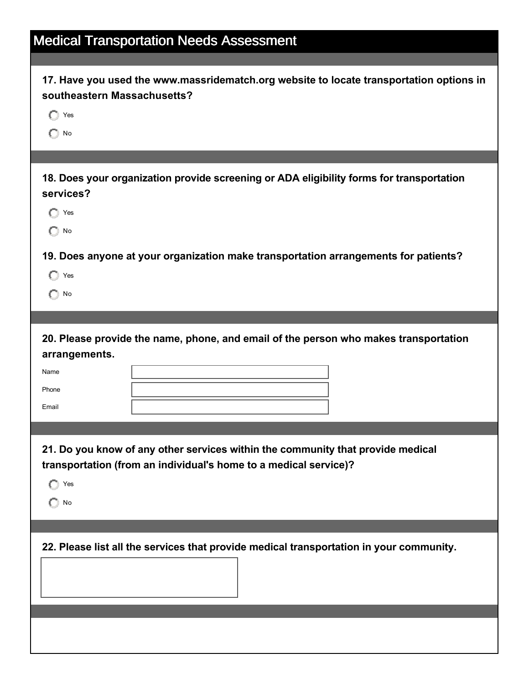| <b>Medical Transportation Needs Assessment</b>                                                                                                                   |  |  |
|------------------------------------------------------------------------------------------------------------------------------------------------------------------|--|--|
|                                                                                                                                                                  |  |  |
| 17. Have you used the www.massridematch.org website to locate transportation options in<br>southeastern Massachusetts?<br>Yes<br>No                              |  |  |
|                                                                                                                                                                  |  |  |
| 18. Does your organization provide screening or ADA eligibility forms for transportation<br>services?<br>Yes<br>$\bigcirc$ No                                    |  |  |
| 19. Does anyone at your organization make transportation arrangements for patients?<br>Yes<br>$\bigcap$ No                                                       |  |  |
|                                                                                                                                                                  |  |  |
| 20. Please provide the name, phone, and email of the person who makes transportation<br>arrangements.<br>Name<br>Phone<br>Email                                  |  |  |
| 21. Do you know of any other services within the community that provide medical<br>transportation (from an individual's home to a medical service)?<br>Yes<br>No |  |  |
|                                                                                                                                                                  |  |  |
| 22. Please list all the services that provide medical transportation in your community.                                                                          |  |  |
|                                                                                                                                                                  |  |  |